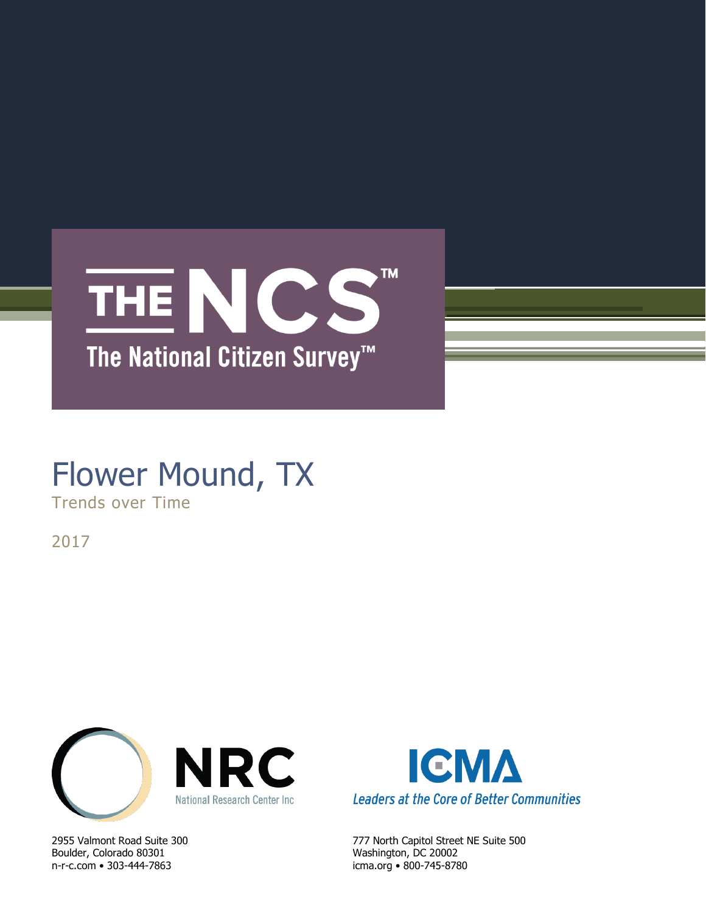

# Flower Mound, TX

Trends over Time

2017



Boulder, Colorado 80301 Washington, DC 20002 n-r-c.com • 303-444-7863 icma.org • 800-745-8780



2955 Valmont Road Suite 300 777 North Capitol Street NE Suite 500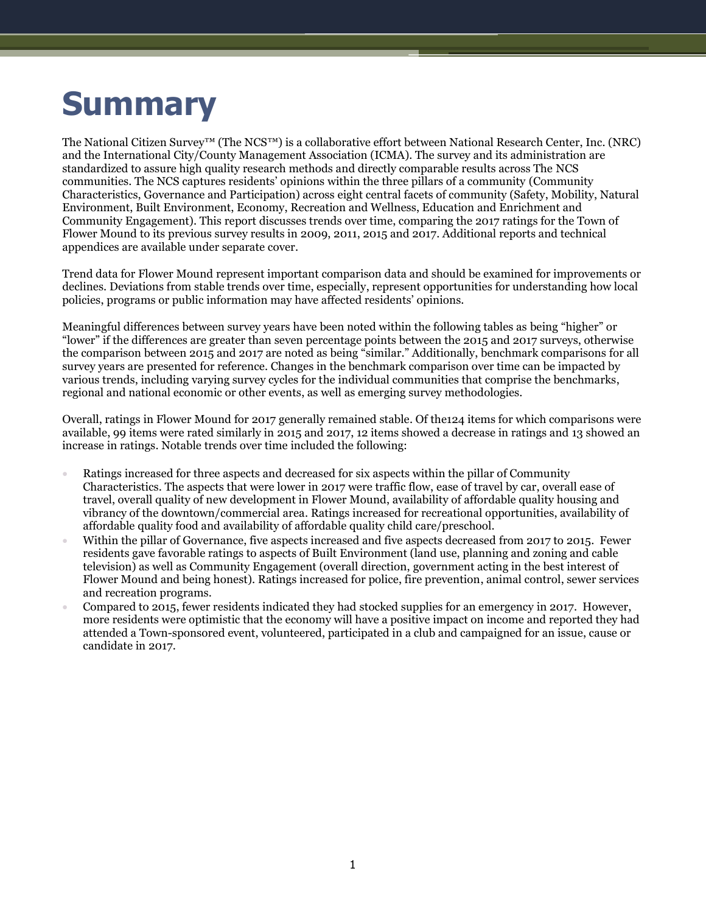# **Summary**

The National Citizen Survey™ (The NCS™) is a collaborative effort between National Research Center, Inc. (NRC) and the International City/County Management Association (ICMA). The survey and its administration are standardized to assure high quality research methods and directly comparable results across The NCS communities. The NCS captures residents' opinions within the three pillars of a community (Community Characteristics, Governance and Participation) across eight central facets of community (Safety, Mobility, Natural Environment, Built Environment, Economy, Recreation and Wellness, Education and Enrichment and Community Engagement). This report discusses trends over time, comparing the 2017 ratings for the Town of Flower Mound to its previous survey results in 2009, 2011, 2015 and 2017. Additional reports and technical appendices are available under separate cover.

Trend data for Flower Mound represent important comparison data and should be examined for improvements or declines. Deviations from stable trends over time, especially, represent opportunities for understanding how local policies, programs or public information may have affected residents' opinions.

Meaningful differences between survey years have been noted within the following tables as being "higher" or "lower" if the differences are greater than seven percentage points between the 2015 and 2017 surveys, otherwise the comparison between 2015 and 2017 are noted as being "similar." Additionally, benchmark comparisons for all survey years are presented for reference. Changes in the benchmark comparison over time can be impacted by various trends, including varying survey cycles for the individual communities that comprise the benchmarks, regional and national economic or other events, as well as emerging survey methodologies.

Overall, ratings in Flower Mound for 2017 generally remained stable. Of the124 items for which comparisons were available, 99 items were rated similarly in 2015 and 2017, 12 items showed a decrease in ratings and 13 showed an increase in ratings. Notable trends over time included the following:

- Ratings increased for three aspects and decreased for six aspects within the pillar of Community Characteristics. The aspects that were lower in 2017 were traffic flow, ease of travel by car, overall ease of travel, overall quality of new development in Flower Mound, availability of affordable quality housing and vibrancy of the downtown/commercial area. Ratings increased for recreational opportunities, availability of affordable quality food and availability of affordable quality child care/preschool.
- Within the pillar of Governance, five aspects increased and five aspects decreased from 2017 to 2015. Fewer residents gave favorable ratings to aspects of Built Environment (land use, planning and zoning and cable television) as well as Community Engagement (overall direction, government acting in the best interest of Flower Mound and being honest). Ratings increased for police, fire prevention, animal control, sewer services and recreation programs.
- Compared to 2015, fewer residents indicated they had stocked supplies for an emergency in 2017. However, more residents were optimistic that the economy will have a positive impact on income and reported they had attended a Town-sponsored event, volunteered, participated in a club and campaigned for an issue, cause or candidate in 2017.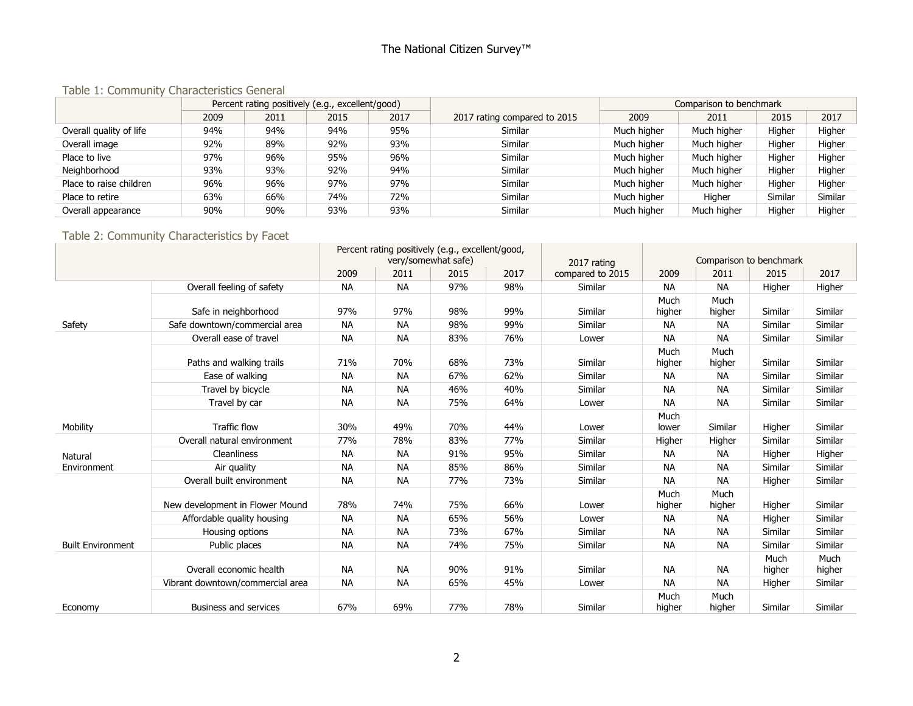## The National Citizen Survey™

#### Table 1: Community Characteristics General

|                         |      | Percent rating positively (e.g., excellent/good) |      |      |                              |             | Comparison to benchmark |         |         |  |
|-------------------------|------|--------------------------------------------------|------|------|------------------------------|-------------|-------------------------|---------|---------|--|
|                         | 2009 | 2011                                             | 2015 | 2017 | 2017 rating compared to 2015 | 2009        | 2011                    | 2015    | 2017    |  |
| Overall quality of life | 94%  | 94%                                              | 94%  | 95%  | Similar                      | Much higher | Much higher             | Higher  | Higher  |  |
| Overall image           | 92%  | 89%                                              | 92%  | 93%  | Similar                      | Much higher | Much higher             | Higher  | Higher  |  |
| Place to live           | 97%  | 96%                                              | 95%  | 96%  | Similar                      | Much higher | Much higher             | Higher  | Higher  |  |
| Neighborhood            | 93%  | 93%                                              | 92%  | 94%  | Similar                      | Much higher | Much higher             | Higher  | Higher  |  |
| Place to raise children | 96%  | 96%                                              | 97%  | 97%  | Similar                      | Much higher | Much higher             | Higher  | Higher  |  |
| Place to retire         | 63%  | 66%                                              | 74%  | 72%  | Similar                      | Much higher | Higher                  | Similar | Similar |  |
| Overall appearance      | 90%  | 90%                                              | 93%  | 93%  | Similar                      | Much higher | Much higher             | Higher  | Higher  |  |

## Table 2: Community Characteristics by Facet

|                          |                                  | Percent rating positively (e.g., excellent/good, |                     |      |      |                  |                |                |                         |                |
|--------------------------|----------------------------------|--------------------------------------------------|---------------------|------|------|------------------|----------------|----------------|-------------------------|----------------|
|                          |                                  |                                                  | very/somewhat safe) |      |      | 2017 rating      |                |                | Comparison to benchmark |                |
|                          |                                  | 2009                                             | 2011                | 2015 | 2017 | compared to 2015 | 2009           | 2011           | 2015                    | 2017           |
|                          | Overall feeling of safety        | <b>NA</b>                                        | <b>NA</b>           | 97%  | 98%  | Similar          | <b>NA</b>      | <b>NA</b>      | Higher                  | Higher         |
|                          |                                  |                                                  |                     |      |      |                  | Much           | Much           |                         |                |
|                          | Safe in neighborhood             | 97%                                              | 97%                 | 98%  | 99%  | Similar          | higher         | higher         | Similar                 | Similar        |
| Safety                   | Safe downtown/commercial area    | <b>NA</b>                                        | <b>NA</b>           | 98%  | 99%  | Similar          | <b>NA</b>      | <b>NA</b>      | Similar                 | Similar        |
|                          | Overall ease of travel           | <b>NA</b>                                        | <b>NA</b>           | 83%  | 76%  | Lower            | <b>NA</b>      | <b>NA</b>      | Similar                 | Similar        |
|                          | Paths and walking trails         | 71%                                              | 70%                 | 68%  | 73%  | Similar          | Much<br>higher | Much<br>higher | Similar                 | Similar        |
|                          | Ease of walking                  | <b>NA</b>                                        | <b>NA</b>           | 67%  | 62%  | Similar          | <b>NA</b>      | <b>NA</b>      | Similar                 | Similar        |
|                          | Travel by bicycle                | <b>NA</b>                                        | <b>NA</b>           | 46%  | 40%  | Similar          | <b>NA</b>      | <b>NA</b>      | Similar                 | Similar        |
|                          | Travel by car                    | <b>NA</b>                                        | <b>NA</b>           | 75%  | 64%  | Lower            | <b>NA</b>      | <b>NA</b>      | Similar                 | Similar        |
| Mobility                 | <b>Traffic flow</b>              | 30%                                              | 49%                 | 70%  | 44%  | Lower            | Much<br>lower  | Similar        | Higher                  | Similar        |
|                          | Overall natural environment      | 77%                                              | 78%                 | 83%  | 77%  | Similar          | Higher         | Higher         | Similar                 | Similar        |
| Natural                  | <b>Cleanliness</b>               | <b>NA</b>                                        | <b>NA</b>           | 91%  | 95%  | Similar          | <b>NA</b>      | <b>NA</b>      | Higher                  | Higher         |
| Environment              | Air quality                      | <b>NA</b>                                        | <b>NA</b>           | 85%  | 86%  | Similar          | <b>NA</b>      | <b>NA</b>      | Similar                 | Similar        |
|                          | Overall built environment        | <b>NA</b>                                        | <b>NA</b>           | 77%  | 73%  | Similar          | <b>NA</b>      | <b>NA</b>      | Higher                  | Similar        |
|                          | New development in Flower Mound  | 78%                                              | 74%                 | 75%  | 66%  | Lower            | Much<br>higher | Much<br>higher | Higher                  | Similar        |
|                          | Affordable quality housing       | <b>NA</b>                                        | <b>NA</b>           | 65%  | 56%  | Lower            | <b>NA</b>      | <b>NA</b>      | Higher                  | Similar        |
|                          | Housing options                  | <b>NA</b>                                        | <b>NA</b>           | 73%  | 67%  | Similar          | <b>NA</b>      | <b>NA</b>      | Similar                 | Similar        |
| <b>Built Environment</b> | Public places                    | <b>NA</b>                                        | <b>NA</b>           | 74%  | 75%  | Similar          | <b>NA</b>      | <b>NA</b>      | Similar                 | Similar        |
|                          | Overall economic health          | <b>NA</b>                                        | <b>NA</b>           | 90%  | 91%  | Similar          | <b>NA</b>      | <b>NA</b>      | Much<br>higher          | Much<br>higher |
|                          | Vibrant downtown/commercial area | <b>NA</b>                                        | <b>NA</b>           | 65%  | 45%  | Lower            | <b>NA</b>      | <b>NA</b>      | Higher                  | Similar        |
| Economy                  | <b>Business and services</b>     | 67%                                              | 69%                 | 77%  | 78%  | Similar          | Much<br>higher | Much<br>higher | Similar                 | Similar        |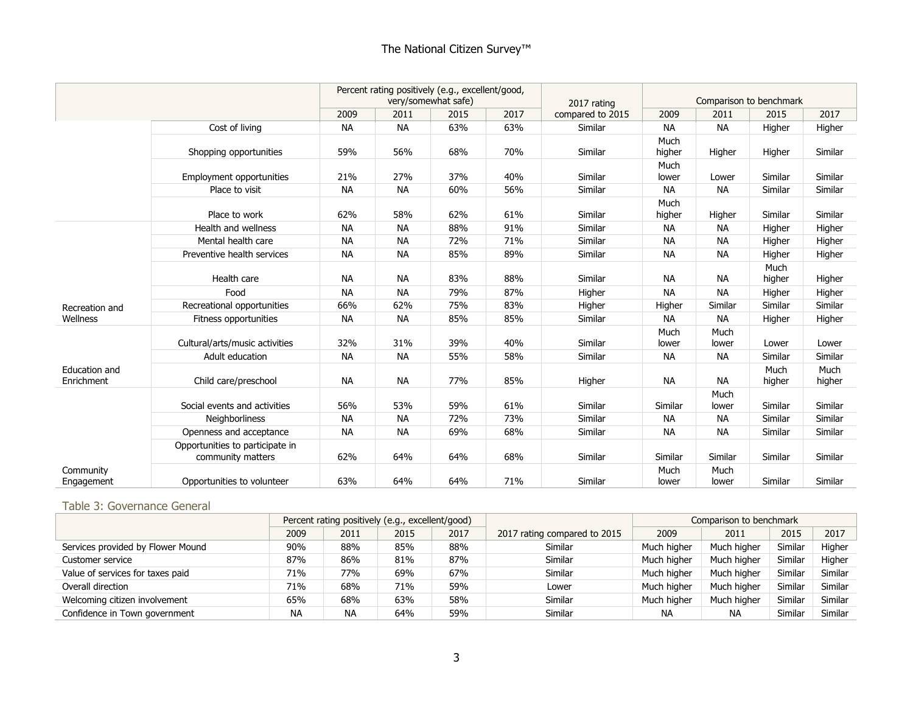|                             |                                                      |           |           | Percent rating positively (e.g., excellent/good,<br>very/somewhat safe) |      | 2017 rating      |                | Comparison to benchmark                                                                                                                                                                                                                                                |                |                |
|-----------------------------|------------------------------------------------------|-----------|-----------|-------------------------------------------------------------------------|------|------------------|----------------|------------------------------------------------------------------------------------------------------------------------------------------------------------------------------------------------------------------------------------------------------------------------|----------------|----------------|
|                             |                                                      | 2009      | 2011      | 2015                                                                    | 2017 | compared to 2015 | 2009           | 2011<br><b>NA</b><br>Higher<br>Lower<br><b>NA</b><br>Higher<br><b>NA</b><br><b>NA</b><br><b>NA</b><br><b>NA</b><br><b>NA</b><br>Similar<br><b>NA</b><br>Much<br>lower<br><b>NA</b><br><b>NA</b><br>Much<br>lower<br><b>NA</b><br><b>NA</b><br>Similar<br>Much<br>lower | 2015           | 2017           |
|                             | Cost of living                                       | <b>NA</b> | <b>NA</b> | 63%                                                                     | 63%  | Similar          | <b>NA</b>      |                                                                                                                                                                                                                                                                        | Higher         | Higher         |
|                             | Shopping opportunities                               | 59%       | 56%       | 68%                                                                     | 70%  | Similar          | Much<br>higher |                                                                                                                                                                                                                                                                        | Higher         | Similar        |
|                             | <b>Employment opportunities</b>                      | 21%       | 27%       | 37%                                                                     | 40%  | Similar          | Much<br>lower  |                                                                                                                                                                                                                                                                        | Similar        | Similar        |
|                             | Place to visit                                       | <b>NA</b> | <b>NA</b> | 60%                                                                     | 56%  | Similar          | <b>NA</b>      |                                                                                                                                                                                                                                                                        | Similar        | Similar        |
|                             | Place to work                                        | 62%       | 58%       | 62%                                                                     | 61%  | Similar          | Much<br>higher |                                                                                                                                                                                                                                                                        | Similar        | Similar        |
|                             | Health and wellness                                  | <b>NA</b> | <b>NA</b> | 88%                                                                     | 91%  | Similar          | <b>NA</b>      |                                                                                                                                                                                                                                                                        | Higher         | Higher         |
|                             | Mental health care                                   | <b>NA</b> | <b>NA</b> | 72%                                                                     | 71%  | Similar          | <b>NA</b>      |                                                                                                                                                                                                                                                                        | Higher         | Higher         |
|                             | Preventive health services                           | <b>NA</b> | <b>NA</b> | 85%                                                                     | 89%  | Similar          | <b>NA</b>      |                                                                                                                                                                                                                                                                        | Higher         | Higher         |
|                             | Health care                                          | <b>NA</b> | <b>NA</b> | 83%                                                                     | 88%  | Similar          | <b>NA</b>      |                                                                                                                                                                                                                                                                        | Much<br>higher | Higher         |
|                             | Food                                                 | <b>NA</b> | <b>NA</b> | 79%                                                                     | 87%  | Higher           | <b>NA</b>      |                                                                                                                                                                                                                                                                        | Higher         | Higher         |
| Recreation and              | Recreational opportunities                           | 66%       | 62%       | 75%                                                                     | 83%  | Higher           | Higher         |                                                                                                                                                                                                                                                                        | Similar        | Similar        |
| Wellness                    | Fitness opportunities                                | <b>NA</b> | <b>NA</b> | 85%                                                                     | 85%  | Similar          | <b>NA</b>      |                                                                                                                                                                                                                                                                        | Higher         | Higher         |
|                             | Cultural/arts/music activities                       | 32%       | 31%       | 39%                                                                     | 40%  | Similar          | Much<br>lower  |                                                                                                                                                                                                                                                                        | Lower          | Lower          |
|                             | Adult education                                      | <b>NA</b> | <b>NA</b> | 55%                                                                     | 58%  | Similar          | <b>NA</b>      |                                                                                                                                                                                                                                                                        | Similar        | Similar        |
| Education and<br>Enrichment | Child care/preschool                                 | <b>NA</b> | <b>NA</b> | 77%                                                                     | 85%  | Higher           | <b>NA</b>      |                                                                                                                                                                                                                                                                        | Much<br>higher | Much<br>higher |
|                             | Social events and activities                         | 56%       | 53%       | 59%                                                                     | 61%  | Similar          | Similar        |                                                                                                                                                                                                                                                                        | Similar        | Similar        |
|                             | <b>Neighborliness</b>                                | <b>NA</b> | <b>NA</b> | 72%                                                                     | 73%  | Similar          | <b>NA</b>      |                                                                                                                                                                                                                                                                        | Similar        | Similar        |
|                             | Openness and acceptance                              | <b>NA</b> | <b>NA</b> | 69%                                                                     | 68%  | Similar          | <b>NA</b>      |                                                                                                                                                                                                                                                                        | Similar        | Similar        |
|                             | Opportunities to participate in<br>community matters | 62%       | 64%       | 64%                                                                     | 68%  | Similar          | Similar        |                                                                                                                                                                                                                                                                        | Similar        | Similar        |
| Community<br>Engagement     | Opportunities to volunteer                           | 63%       | 64%       | 64%                                                                     | 71%  | Similar          | Much<br>lower  |                                                                                                                                                                                                                                                                        | Similar        | Similar        |

#### Table 3: Governance General

|                                   | Percent rating positively (e.g., excellent/good) |           |      |      |                              |             | Comparison to benchmark |         |         |
|-----------------------------------|--------------------------------------------------|-----------|------|------|------------------------------|-------------|-------------------------|---------|---------|
|                                   | 2009                                             | 2011      | 2015 | 2017 | 2017 rating compared to 2015 | 2009        | 2011                    | 2015    | 2017    |
| Services provided by Flower Mound | 90%                                              | 88%       | 85%  | 88%  | Similar                      | Much higher | Much higher             | Similar | Higher  |
| Customer service                  | 87%                                              | 86%       | 81%  | 87%  | Similar                      | Much higher | Much higher             | Similar | Higher  |
| Value of services for taxes paid  | 71%                                              | 77%       | 69%  | 67%  | Similar                      | Much higher | Much higher             | Similar | Similar |
| Overall direction                 | 71%                                              | 68%       | 71%  | 59%  | Lower                        | Much higher | Much higher             | Similar | Similar |
| Welcoming citizen involvement     | 65%                                              | 68%       | 63%  | 58%  | Similar                      | Much higher | Much higher             | Similar | Similar |
| Confidence in Town government     | <b>NA</b>                                        | <b>NA</b> | 64%  | 59%  | Similar                      | <b>NA</b>   | ΝA                      | Similar | Similar |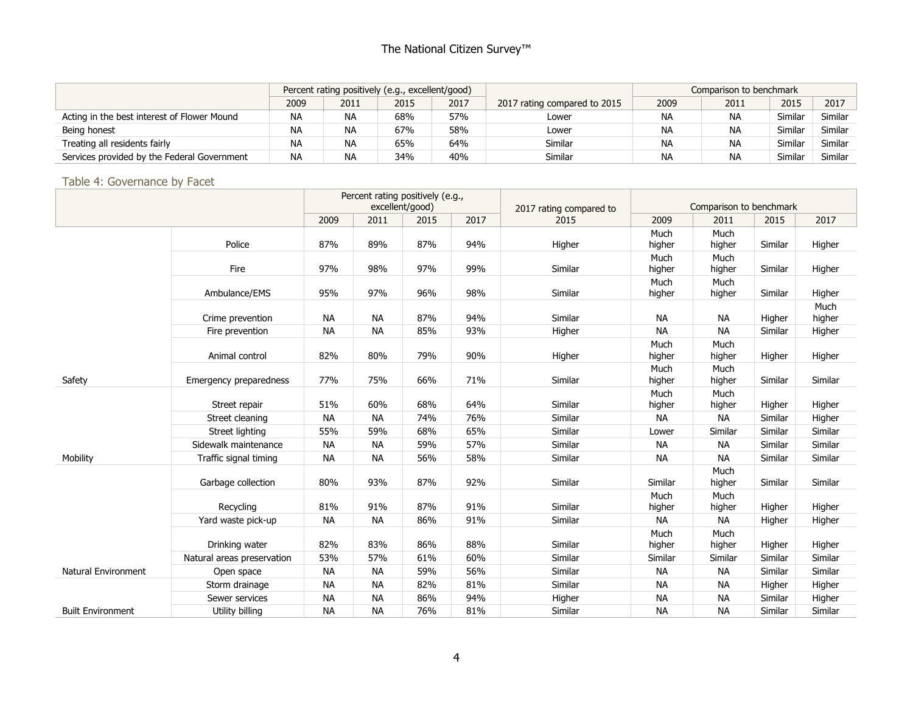## The National Citizen Survey<sup>™</sup>

|                                             |           | Percent rating positively (e.g., excellent/good) |      |      |                              | Comparison to benchmark |           |         |         |
|---------------------------------------------|-----------|--------------------------------------------------|------|------|------------------------------|-------------------------|-----------|---------|---------|
|                                             | 2009      | 2011                                             | 2015 | 2017 | 2017 rating compared to 2015 | 2009                    | 2011      | 2015    | 2017    |
| Acting in the best interest of Flower Mound | <b>NA</b> | <b>NA</b>                                        | 68%  | 57%  | Lower                        | ΝA                      | <b>NA</b> | Similaı | Similar |
| Being honest                                | <b>NA</b> | <b>NA</b>                                        | 67%  | 58%  | Lower                        | <b>NA</b>               | <b>NA</b> | Similar | Similar |
| Treating all residents fairly               | <b>NA</b> | <b>NA</b>                                        | 65%  | 64%  | <b>Similar</b>               | <b>NA</b>               | <b>NA</b> | Similar | Similar |
| Services provided by the Federal Government | <b>NA</b> | <b>NA</b>                                        | 34%  | 40%  | <b>Similar</b>               | NA                      | <b>NA</b> | Similar | Similar |

#### Table 4: Governance by Facet

|                          |                            |           |           | Percent rating positively (e.g.,<br>excellent/good) |      | 2017 rating compared to |                | Comparison to benchmark |         |                |
|--------------------------|----------------------------|-----------|-----------|-----------------------------------------------------|------|-------------------------|----------------|-------------------------|---------|----------------|
|                          |                            | 2009      | 2011      | 2015                                                | 2017 | 2015                    | 2009           | 2011                    | 2015    | 2017           |
|                          | Police                     | 87%       | 89%       | 87%                                                 | 94%  | Higher                  | Much<br>higher | Much<br>higher          | Similar | Higher         |
|                          | Fire                       | 97%       | 98%       | 97%                                                 | 99%  | Similar                 | Much<br>higher | Much<br>higher          | Similar | Higher         |
|                          | Ambulance/EMS              | 95%       | 97%       | 96%                                                 | 98%  | Similar                 | Much<br>higher | Much<br>higher          | Similar | Higher         |
|                          | Crime prevention           | <b>NA</b> | <b>NA</b> | 87%                                                 | 94%  | Similar                 | <b>NA</b>      | <b>NA</b>               | Higher  | Much<br>higher |
|                          | Fire prevention            | <b>NA</b> | <b>NA</b> | 85%                                                 | 93%  | Higher                  | <b>NA</b>      | <b>NA</b>               | Similar | Higher         |
|                          | Animal control             | 82%       | 80%       | 79%                                                 | 90%  | Higher                  | Much<br>higher | Much<br>higher          | Higher  | Higher         |
| Safety                   | Emergency preparedness     | 77%       | 75%       | 66%                                                 | 71%  | Similar                 | Much<br>higher | Much<br>higher          | Similar | Similar        |
|                          | Street repair              | 51%       | 60%       | 68%                                                 | 64%  | Similar                 | Much<br>higher | Much<br>higher          | Higher  | Higher         |
|                          | Street cleaning            | <b>NA</b> | <b>NA</b> | 74%                                                 | 76%  | Similar                 | <b>NA</b>      | <b>NA</b>               | Similar | Higher         |
|                          | Street lighting            | 55%       | 59%       | 68%                                                 | 65%  | Similar                 | Lower          | Similar                 | Similar | Similar        |
|                          | Sidewalk maintenance       | <b>NA</b> | <b>NA</b> | 59%                                                 | 57%  | Similar                 | ΝA             | NA                      | Similar | Similar        |
| Mobility                 | Traffic signal timing      | <b>NA</b> | <b>NA</b> | 56%                                                 | 58%  | Similar                 | <b>NA</b>      | <b>NA</b>               | Similar | Similar        |
|                          | Garbage collection         | 80%       | 93%       | 87%                                                 | 92%  | Similar                 | Similar        | Much<br>higher          | Similar | Similar        |
|                          | Recycling                  | 81%       | 91%       | 87%                                                 | 91%  | Similar                 | Much<br>higher | Much<br>higher          | Higher  | Higher         |
|                          | Yard waste pick-up         | <b>NA</b> | <b>NA</b> | 86%                                                 | 91%  | Similar                 | ΝA             | <b>NA</b>               | Higher  | Higher         |
|                          | Drinking water             | 82%       | 83%       | 86%                                                 | 88%  | Similar                 | Much<br>higher | Much<br>higher          | Higher  | Higher         |
|                          | Natural areas preservation | 53%       | 57%       | 61%                                                 | 60%  | Similar                 | Similar        | Similar                 | Similar | Similar        |
| Natural Environment      | Open space                 | <b>NA</b> | <b>NA</b> | 59%                                                 | 56%  | Similar                 | <b>NA</b>      | <b>NA</b>               | Similar | Similar        |
|                          | Storm drainage             | <b>NA</b> | <b>NA</b> | 82%                                                 | 81%  | Similar                 | <b>NA</b>      | <b>NA</b>               | Higher  | Higher         |
|                          | Sewer services             | <b>NA</b> | <b>NA</b> | 86%                                                 | 94%  | Higher                  | <b>NA</b>      | <b>NA</b>               | Similar | Higher         |
| <b>Built Environment</b> | Utility billing            | <b>NA</b> | <b>NA</b> | 76%                                                 | 81%  | Similar                 | <b>NA</b>      | <b>NA</b>               | Similar | Similar        |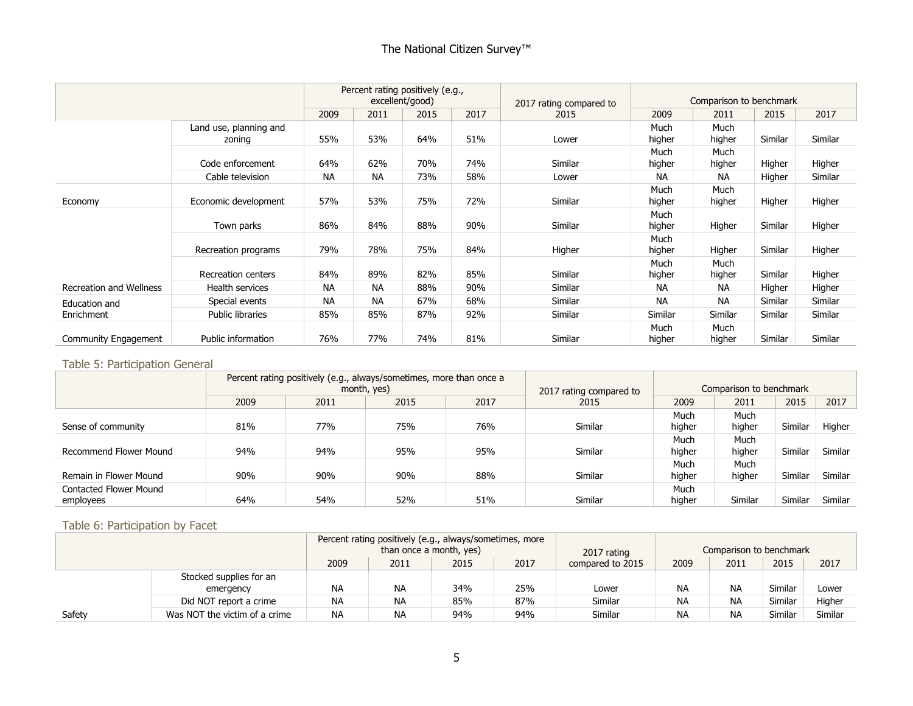## The National Citizen Survey<sup>™</sup>

|                                |                                  | Percent rating positively (e.g.,<br>excellent/good) |           |      | 2017 rating compared to | Comparison to benchmark |                |                |         |         |
|--------------------------------|----------------------------------|-----------------------------------------------------|-----------|------|-------------------------|-------------------------|----------------|----------------|---------|---------|
|                                |                                  | 2009                                                | 2011      | 2015 | 2017                    | 2015                    | 2009           | 2011           | 2015    | 2017    |
|                                | Land use, planning and<br>zoning | 55%                                                 | 53%       | 64%  | 51%                     | Lower                   | Much<br>higher | Much<br>higher | Similar | Similar |
|                                | Code enforcement                 | 64%                                                 | 62%       | 70%  | 74%                     | Similar                 | Much<br>higher | Much<br>higher | Higher  | Higher  |
|                                | Cable television                 | <b>NA</b>                                           | <b>NA</b> | 73%  | 58%                     | Lower                   | <b>NA</b>      | <b>NA</b>      | Higher  | Similar |
| Economy                        | Economic development             | 57%                                                 | 53%       | 75%  | 72%                     | Similar                 | Much<br>higher | Much<br>higher | Higher  | Higher  |
|                                | Town parks                       | 86%                                                 | 84%       | 88%  | 90%                     | Similar                 | Much<br>higher | Higher         | Similar | Higher  |
|                                | Recreation programs              | 79%                                                 | 78%       | 75%  | 84%                     | Higher                  | Much<br>higher | Higher         | Similar | Higher  |
|                                | <b>Recreation centers</b>        | 84%                                                 | 89%       | 82%  | 85%                     | Similar                 | Much<br>higher | Much<br>higher | Similar | Higher  |
| <b>Recreation and Wellness</b> | Health services                  | <b>NA</b>                                           | <b>NA</b> | 88%  | 90%                     | Similar                 | NA             | <b>NA</b>      | Higher  | Higher  |
| Education and                  | Special events                   | <b>NA</b>                                           | <b>NA</b> | 67%  | 68%                     | Similar                 | <b>NA</b>      | <b>NA</b>      | Similar | Similar |
| Enrichment                     | <b>Public libraries</b>          | 85%                                                 | 85%       | 87%  | 92%                     | Similar                 | Similar        | Similar        | Similar | Similar |
| Community Engagement           | Public information               | 76%                                                 | 77%       | 74%  | 81%                     | Similar                 | Much<br>higher | Much<br>higher | Similar | Similar |

#### Table 5: Participation General

|                                     |      | Percent rating positively (e.g., always/sometimes, more than once a<br>month, yes) |      |      | 2017 rating compared to | Comparison to benchmark |                |         |         |
|-------------------------------------|------|------------------------------------------------------------------------------------|------|------|-------------------------|-------------------------|----------------|---------|---------|
|                                     | 2009 | 2011                                                                               | 2015 | 2017 | 2015                    | 2009                    | 2011           | 2015    | 2017    |
| Sense of community                  | 81%  | 77%                                                                                | 75%  | 76%  | Similar                 | Much<br>higher          | Much<br>higher | Similar | Higher  |
| Recommend Flower Mound              | 94%  | 94%                                                                                | 95%  | 95%  | <b>Similar</b>          | Much<br>higher          | Much<br>higher | Similar | Similar |
| Remain in Flower Mound              | 90%  | 90%                                                                                | 90%  | 88%  | <b>Similar</b>          | Much<br>higher          | Much<br>higher | Similar | Similar |
| Contacted Flower Mound<br>employees | 64%  | 54%                                                                                | 52%  | 51%  | Similar                 | Much<br>higher          | Similar        | Similar | Similar |

#### Table 6: Participation by Facet

|        |                               |           | Percent rating positively (e.g., always/sometimes, more |     |     |         |           |                         |         |         |
|--------|-------------------------------|-----------|---------------------------------------------------------|-----|-----|---------|-----------|-------------------------|---------|---------|
|        |                               |           | than once a month, yes)                                 |     |     |         |           | Comparison to benchmark |         |         |
|        |                               | 2009      | 2017<br>2011<br>2015<br>compared to 2015                |     |     |         | 2009      | 2011                    | 2015    | 2017    |
|        | Stocked supplies for an       |           |                                                         |     |     |         |           |                         |         |         |
|        | emergency                     | <b>NA</b> | <b>NA</b>                                               | 34% | 25% | Lower   | <b>NA</b> | <b>NA</b>               | Similar | Lower   |
|        | Did NOT report a crime        | <b>NA</b> | <b>NA</b>                                               | 85% | 87% | Similar | ΝA        | <b>NA</b>               | Similar | Higher  |
| Safety | Was NOT the victim of a crime | <b>NA</b> | NА                                                      | 94% | 94% | Similar | ΝA        | <b>NA</b>               | Similar | Similar |